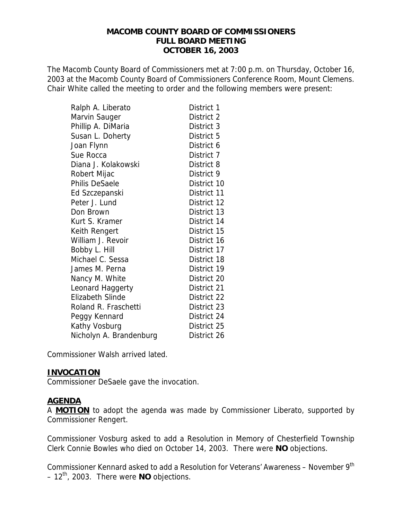#### **MACOMB COUNTY BOARD OF COMMISSIONERS FULL BOARD MEETING OCTOBER 16, 2003**

The Macomb County Board of Commissioners met at 7:00 p.m. on Thursday, October 16, 2003 at the Macomb County Board of Commissioners Conference Room, Mount Clemens. Chair White called the meeting to order and the following members were present:

| Ralph A. Liberato       | District 1  |
|-------------------------|-------------|
| Marvin Sauger           | District 2  |
| Phillip A. DiMaria      | District 3  |
| Susan L. Doherty        | District 5  |
| Joan Flynn              | District 6  |
| Sue Rocca               | District 7  |
| Diana J. Kolakowski     | District 8  |
| Robert Mijac            | District 9  |
| Philis DeSaele          | District 10 |
| Ed Szczepanski          | District 11 |
| Peter J. Lund           | District 12 |
| Don Brown               | District 13 |
| Kurt S. Kramer          | District 14 |
| Keith Rengert           | District 15 |
| William J. Revoir       | District 16 |
| Bobby L. Hill           | District 17 |
| Michael C. Sessa        | District 18 |
| James M. Perna          | District 19 |
| Nancy M. White          | District 20 |
| Leonard Haggerty        | District 21 |
| <b>Elizabeth Slinde</b> | District 22 |
| Roland R. Fraschetti    | District 23 |
| Peggy Kennard           | District 24 |
| Kathy Vosburg           | District 25 |
| Nicholyn A. Brandenburg | District 26 |

Commissioner Walsh arrived lated.

#### **INVOCATION**

Commissioner DeSaele gave the invocation.

#### **AGENDA**

A **MOTION** to adopt the agenda was made by Commissioner Liberato, supported by Commissioner Rengert.

Commissioner Vosburg asked to add a Resolution in Memory of Chesterfield Township Clerk Connie Bowles who died on October 14, 2003. There were **NO** objections.

Commissioner Kennard asked to add a Resolution for Veterans' Awareness - November 9<sup>th</sup>  $-12^{th}$ , 2003. There were **NO** objections.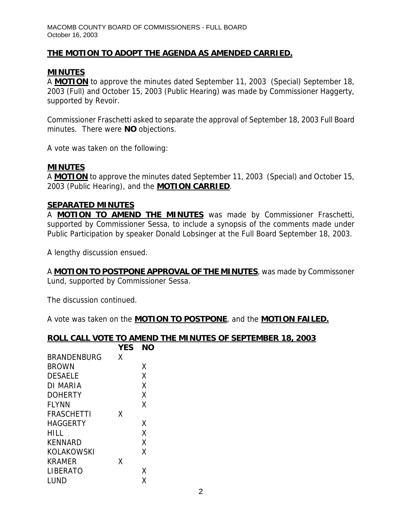### **THE MOTION TO ADOPT THE AGENDA AS AMENDED CARRIED.**

## **MINUTES**

A **MOTION** to approve the minutes dated September 11, 2003 (Special) September 18, 2003 (Full) and October 15, 2003 (Public Hearing) was made by Commissioner Haggerty, supported by Revoir.

Commissioner Fraschetti asked to separate the approval of September 18, 2003 Full Board minutes. There were **NO** objections.

A vote was taken on the following:

#### **MINUTES**

A **MOTION** to approve the minutes dated September 11, 2003 (Special) and October 15, 2003 (Public Hearing), and the **MOTION CARRIED**.

#### **SEPARATED MINUTES**

A **MOTION TO AMEND THE MINUTES** was made by Commissioner Fraschetti, supported by Commissioner Sessa, to include a synopsis of the comments made under Public Participation by speaker Donald Lobsinger at the Full Board September 18, 2003.

A lengthy discussion ensued.

A **MOTION TO POSTPONE APPROVAL OF THE MINUTES**, was made by Commissoner Lund, supported by Commissioner Sessa.

The discussion continued.

A vote was taken on the **MOTION TO POSTPONE**, and the **MOTION FAILED.**

#### **ROLL CALL VOTE TO AMEND THE MINUTES OF SEPTEMBER 18, 2003**

|                    | <b>YES</b> | NΟ |
|--------------------|------------|----|
| <b>BRANDENBURG</b> | x          |    |
| <b>BROWN</b>       |            | X  |
| <b>DESAELE</b>     |            | χ  |
| DI MARIA           |            | χ  |
| <b>DOHERTY</b>     |            | X  |
| <b>FLYNN</b>       |            | χ  |
| <b>FRASCHETTI</b>  | x          |    |
| <b>HAGGERTY</b>    |            | χ  |
| <b>HILL</b>        |            | χ  |
| <b>KENNARD</b>     |            | X  |
| <b>KOLAKOWSKI</b>  |            | X  |
| KRAMER             | Χ          |    |
| <b>LIBERATO</b>    |            | X  |
| LUND               |            | χ  |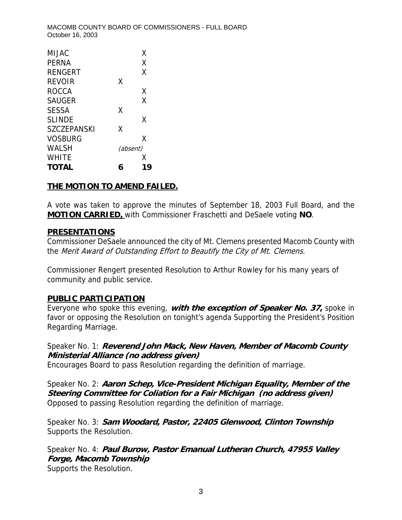| χ<br><b>PFRNA</b><br>X<br><b>RENGERT</b><br>X<br><b>REVOIR</b><br><b>ROCCA</b><br>χ<br>X<br><b>SAUGER</b><br>X<br><b>SESSA</b><br>x<br><b>SLINDE</b><br>X<br>SZCZEPANSKI<br><b>VOSBURG</b><br>Χ<br><b>WALSH</b><br>(absent) | MIJAC | Χ |
|-----------------------------------------------------------------------------------------------------------------------------------------------------------------------------------------------------------------------------|-------|---|
|                                                                                                                                                                                                                             |       |   |
|                                                                                                                                                                                                                             |       |   |
|                                                                                                                                                                                                                             |       |   |
|                                                                                                                                                                                                                             |       |   |
|                                                                                                                                                                                                                             |       |   |
|                                                                                                                                                                                                                             |       |   |
|                                                                                                                                                                                                                             |       |   |
|                                                                                                                                                                                                                             |       |   |
|                                                                                                                                                                                                                             |       |   |
|                                                                                                                                                                                                                             |       |   |
|                                                                                                                                                                                                                             | WHITF | x |
| TOTAL<br>l 9                                                                                                                                                                                                                |       |   |

#### **THE MOTION TO AMEND FAILED.**

A vote was taken to approve the minutes of September 18, 2003 Full Board, and the **MOTION CARRIED,** with Commissioner Fraschetti and DeSaele voting **NO**.

#### **PRESENTATIONS**

Commissioner DeSaele announced the city of Mt. Clemens presented Macomb County with the Merit Award of Outstanding Effort to Beautify the City of Mt. Clemens.

Commissioner Rengert presented Resolution to Arthur Rowley for his many years of community and public service.

## **PUBLIC PARTICIPATION**

Everyone who spoke this evening, **with the exception of Speaker No. 37,** spoke in favor or opposing the Resolution on tonight's agenda Supporting the President's Position Regarding Marriage.

## Speaker No. 1: **Reverend John Mack, New Haven, Member of Macomb County Ministerial Alliance (no address given)**

Encourages Board to pass Resolution regarding the definition of marriage.

Speaker No. 2: **Aaron Schep, Vice-President Michigan Equality, Member of the Steering Committee for Coliation for a Fair Michigan (no address given)** Opposed to passing Resolution regarding the definition of marriage.

Speaker No. 3: **Sam Woodard, Pastor, 22405 Glenwood, Clinton Township** Supports the Resolution.

Speaker No. 4: **Paul Burow, Pastor Emanual Lutheran Church, 47955 Valley Forge, Macomb Township**  Supports the Resolution.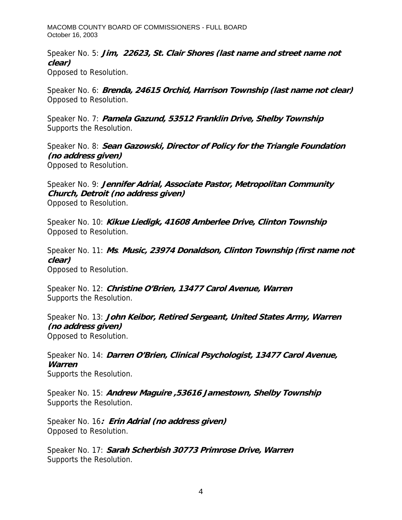Speaker No. 5: **Jim, 22623, St. Clair Shores (last name and street name not clear)**  Opposed to Resolution.

Speaker No. 6: **Brenda, 24615 Orchid, Harrison Township (last name not clear)**  Opposed to Resolution.

Speaker No. 7: **Pamela Gazund, 53512 Franklin Drive, Shelby Township**  Supports the Resolution.

Speaker No. 8: **Sean Gazowski, Director of Policy for the Triangle Foundation (no address given)**  Opposed to Resolution.

Speaker No. 9: **Jennifer Adrial, Associate Pastor, Metropolitan Community Church, Detroit (no address given)** Opposed to Resolution.

Speaker No. 10: **Kikue Liedigk, 41608 Amberlee Drive, Clinton Township**  Opposed to Resolution.

Speaker No. 11: **Ms**. **Music, 23974 Donaldson, Clinton Township (first name not clear)**  Opposed to Resolution.

Speaker No. 12: **Christine O'Brien, 13477 Carol Avenue, Warren** Supports the Resolution.

Speaker No. 13: **John Keibor, Retired Sergeant, United States Army, Warren (no address given)**  Opposed to Resolution.

Speaker No. 14: **Darren O'Brien, Clinical Psychologist, 13477 Carol Avenue, Warren** Supports the Resolution.

Speaker No. 15: **Andrew Maguire ,53616 Jamestown, Shelby Township**  Supports the Resolution.

Speaker No. 16**: Erin Adrial (no address given)**  Opposed to Resolution.

Speaker No. 17: **Sarah Scherbish 30773 Primrose Drive, Warren** Supports the Resolution.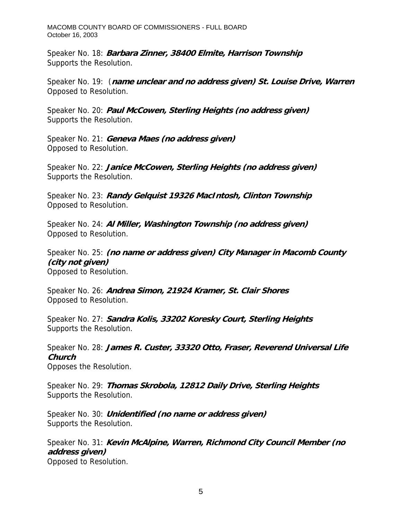Speaker No. 18: **Barbara Zinner, 38400 Elmite, Harrison Township** Supports the Resolution.

Speaker No. 19: (**name unclear and no address given) St. Louise Drive, Warren** Opposed to Resolution.

Speaker No. 20: **Paul McCowen, Sterling Heights (no address given)** Supports the Resolution.

Speaker No. 21: **Geneva Maes (no address given)** Opposed to Resolution.

Speaker No. 22: **Janice McCowen, Sterling Heights (no address given)**  Supports the Resolution.

Speaker No. 23: **Randy Gelquist 19326 MacIntosh, Clinton Township**  Opposed to Resolution.

Speaker No. 24: **Al Miller, Washington Township (no address given)**  Opposed to Resolution.

Speaker No. 25: **(no name or address given) City Manager in Macomb County (city not given)**  Opposed to Resolution.

Speaker No. 26: **Andrea Simon, 21924 Kramer, St. Clair Shores** Opposed to Resolution.

Speaker No. 27: **Sandra Kolis, 33202 Koresky Court, Sterling Heights** Supports the Resolution.

Speaker No. 28: **James R. Custer, 33320 Otto, Fraser, Reverend Universal Life Church** Opposes the Resolution.

Speaker No. 29: **Thomas Skrobola, 12812 Daily Drive, Sterling Heights** Supports the Resolution.

Speaker No. 30: **Unidentified (no name or address given)**  Supports the Resolution.

Speaker No. 31: **Kevin McAlpine, Warren, Richmond City Council Member (no address given)** Opposed to Resolution.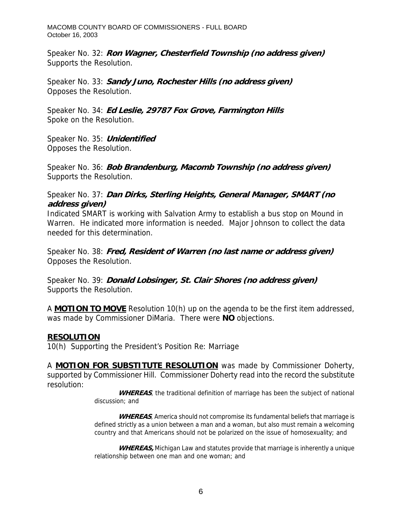Speaker No. 32: **Ron Wagner, Chesterfield Township (no address given)**  Supports the Resolution.

Speaker No. 33: **Sandy Juno, Rochester Hills (no address given)**  Opposes the Resolution.

Speaker No. 34: **Ed Leslie, 29787 Fox Grove, Farmington Hills**  Spoke on the Resolution.

Speaker No. 35: **Unidentified** Opposes the Resolution.

Speaker No. 36: **Bob Brandenburg, Macomb Township (no address given)**  Supports the Resolution.

Speaker No. 37: **Dan Dirks, Sterling Heights, General Manager, SMART (no address given)** 

Indicated SMART is working with Salvation Army to establish a bus stop on Mound in Warren. He indicated more information is needed. Major Johnson to collect the data needed for this determination.

Speaker No. 38: **Fred, Resident of Warren (no last name or address given)**  Opposes the Resolution.

Speaker No. 39: **Donald Lobsinger, St. Clair Shores (no address given)**  Supports the Resolution.

A **MOTION TO MOVE** Resolution 10(h) up on the agenda to be the first item addressed, was made by Commissioner DiMaria. There were **NO** objections.

#### **RESOLUTION**

10(h) Supporting the President's Position Re: Marriage

A **MOTION FOR SUBSTITUTE RESOLUTION** was made by Commissioner Doherty, supported by Commissioner Hill. Commissioner Doherty read into the record the substitute resolution:

> WHEREAS, the traditional definition of marriage has been the subject of national discussion; and

> **WHEREAS**, America should not compromise its fundamental beliefs that marriage is defined strictly as a union between a man and a woman, but also must remain a welcoming country and that Americans should not be polarized on the issue of homosexuality; and

> **WHEREAS,** Michigan Law and statutes provide that marriage is inherently a unique relationship between one man and one woman; and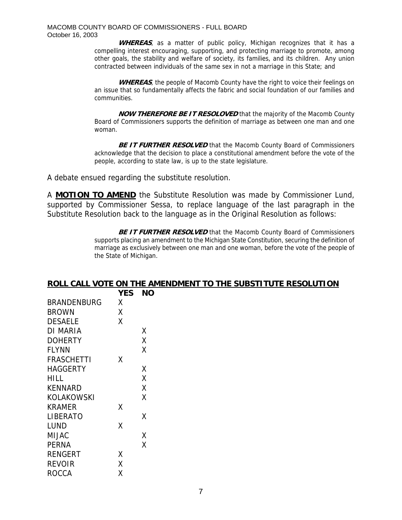**WHEREAS**, as a matter of public policy, Michigan recognizes that it has a compelling interest encouraging, supporting, and protecting marriage to promote, among other goals, the stability and welfare of society, its families, and its children. Any union contracted between individuals of the same sex in not a marriage in this State; and

WHEREAS, the people of Macomb County have the right to voice their feelings on an issue that so fundamentally affects the fabric and social foundation of our families and communities.

**NOW THEREFORE BE IT RESOLOVED** that the majority of the Macomb County Board of Commissioners supports the definition of marriage as between one man and one woman.

**BE IT FURTHER RESOLVED** that the Macomb County Board of Commissioners acknowledge that the decision to place a constitutional amendment before the vote of the people, according to state law, is up to the state legislature.

A debate ensued regarding the substitute resolution.

A **MOTION TO AMEND** the Substitute Resolution was made by Commissioner Lund, supported by Commissioner Sessa, to replace language of the last paragraph in the Substitute Resolution back to the language as in the Original Resolution as follows:

> **BE IT FURTHER RESOLVED** that the Macomb County Board of Commissioners supports placing an amendment to the Michigan State Constitution, securing the definition of marriage as exclusively between one man and one woman, before the vote of the people of the State of Michigan.

|                    |            | ROLL CALL VOTE ON THE AMENDMENT TO THE SUBSTITUTE RESOLUTION |
|--------------------|------------|--------------------------------------------------------------|
|                    | <b>YES</b> | <b>NO</b>                                                    |
| <b>BRANDENBURG</b> | X          |                                                              |
| <b>BROWN</b>       | Χ          |                                                              |
| <b>DESAELE</b>     | X          |                                                              |
| <b>DI MARIA</b>    |            | X                                                            |
| <b>DOHERTY</b>     |            | Χ                                                            |
| <b>FLYNN</b>       |            | X                                                            |
| <b>FRASCHETTI</b>  | X          |                                                              |
| <b>HAGGERTY</b>    |            | X                                                            |
| <b>HILL</b>        |            | Χ                                                            |
| <b>KENNARD</b>     |            | Χ                                                            |
| <b>KOLAKOWSKI</b>  |            | X                                                            |
| <b>KRAMER</b>      | X          |                                                              |
| <b>LIBERATO</b>    |            | X                                                            |
| <b>LUND</b>        | X          |                                                              |
| <b>MIJAC</b>       |            | X                                                            |
| <b>PERNA</b>       |            | X                                                            |
| <b>RENGERT</b>     | X          |                                                              |
| <b>REVOIR</b>      | Χ          |                                                              |
| <b>ROCCA</b>       | X          |                                                              |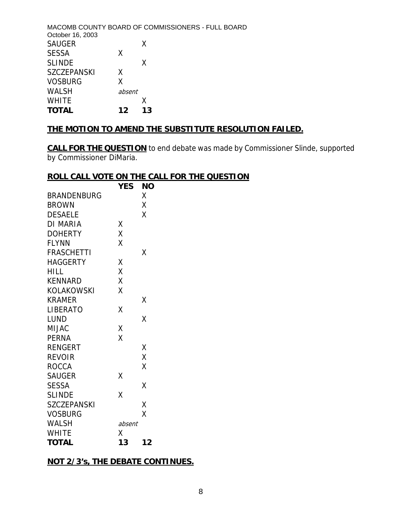|        | MACOMB COUNTY BOARD OF COMMISSIONERS - FULL BOARD |
|--------|---------------------------------------------------|
|        | X                                                 |
| X      |                                                   |
|        | x                                                 |
| X      |                                                   |
| Χ      |                                                   |
| absent |                                                   |
|        | x                                                 |
| 12     | 13                                                |
|        |                                                   |

### **THE MOTION TO AMEND THE SUBSTITUTE RESOLUTION FAILED.**

**CALL FOR THE QUESTION** to end debate was made by Commissioner Slinde, supported by Commissioner DiMaria.

#### **ROLL CALL VOTE ON THE CALL FOR THE QUESTION**

|                    | <b>YES</b> | ΝO |
|--------------------|------------|----|
| <b>BRANDENBURG</b> |            | Χ  |
| <b>BROWN</b>       |            | X  |
| <b>DESAELE</b>     |            | Χ  |
| <b>DI MARIA</b>    | Χ          |    |
| <b>DOHERTY</b>     | X          |    |
| <b>FLYNN</b>       | Χ          |    |
| <b>FRASCHETTI</b>  |            | Χ  |
| <b>HAGGERTY</b>    | Χ          |    |
| <b>HILL</b>        | X          |    |
| <b>KENNARD</b>     | X          |    |
| <b>KOLAKOWSKI</b>  | X          |    |
| <b>KRAMER</b>      |            | Χ  |
| LIBERATO           | Χ          |    |
| <b>LUND</b>        |            | Χ  |
| <b>MIJAC</b>       | X          |    |
| <b>PERNA</b>       | X          |    |
| <b>RENGERT</b>     |            | Χ  |
| <b>REVOIR</b>      |            | Χ  |
| <b>ROCCA</b>       |            | Χ  |
| <b>SAUGER</b>      | Χ          |    |
| <b>SESSA</b>       |            | Χ  |
| <b>SLINDE</b>      | X          |    |
| <b>SZCZEPANSKI</b> |            | X  |
| <b>VOSBURG</b>     |            | X  |
| <b>WALSH</b>       | absent     |    |
| <b>WHITE</b>       | Χ          |    |
| <b>TOTAL</b>       | 13         | 12 |

## **NOT 2/3's, THE DEBATE CONTINUES.**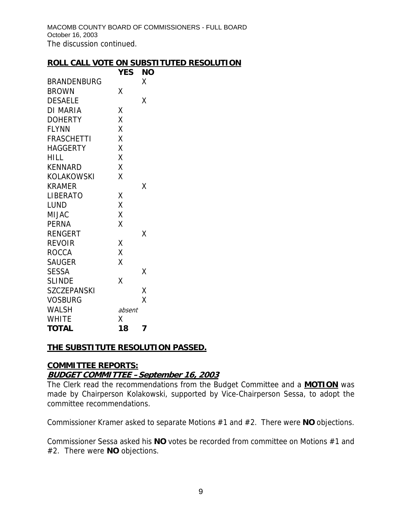MACOMB COUNTY BOARD OF COMMISSIONERS - FULL BOARD October 16, 2003 The discussion continued.

#### **ROLL CALL VOTE ON SUBSTITUTED RESOLUTION**

|                    | YES    | ΝO |
|--------------------|--------|----|
| <b>BRANDENBURG</b> |        | χ  |
| <b>BROWN</b>       | Χ      |    |
| <b>DESAELE</b>     |        | Χ  |
| DI MARIA           | Χ      |    |
| <b>DOHERTY</b>     | X      |    |
| <b>FLYNN</b>       | Χ      |    |
| <b>FRASCHETTI</b>  | Χ      |    |
| <b>HAGGERTY</b>    | X      |    |
| <b>HILL</b>        | Χ      |    |
| <b>KENNARD</b>     | X      |    |
| <b>KOLAKOWSKI</b>  | X      |    |
| <b>KRAMER</b>      |        | Χ  |
| LIBERATO           | Χ      |    |
| <b>LUND</b>        | Χ      |    |
| MIJAC              | Χ      |    |
| <b>PERNA</b>       | X      |    |
| <b>RENGERT</b>     |        | Χ  |
| <b>REVOIR</b>      | Χ      |    |
| <b>ROCCA</b>       | Χ      |    |
| <b>SAUGER</b>      | X      |    |
| <b>SESSA</b>       |        | Χ  |
| <b>SLINDE</b>      | X      |    |
| <b>SZCZEPANSKI</b> |        | X  |
| <b>VOSBURG</b>     |        | Χ  |
| <b>WALSH</b>       | absent |    |
| <b>WHITE</b>       | Χ      |    |
| <b>TOTAL</b>       | 18     | 7  |

#### **THE SUBSTITUTE RESOLUTION PASSED.**

## **COMMITTEE REPORTS: BUDGET COMMITTEE –September 16, 2003**

The Clerk read the recommendations from the Budget Committee and a **MOTION** was made by Chairperson Kolakowski, supported by Vice-Chairperson Sessa, to adopt the committee recommendations.

Commissioner Kramer asked to separate Motions #1 and #2. There were **NO** objections.

Commissioner Sessa asked his **NO** votes be recorded from committee on Motions #1 and #2. There were **NO** objections.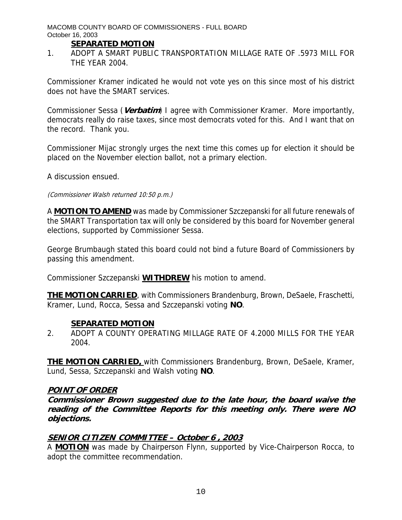#### **SEPARATED MOTION**

1. ADOPT A SMART PUBLIC TRANSPORTATION MILLAGE RATE OF .5973 MILL FOR THE YEAR 2004.

Commissioner Kramer indicated he would not vote yes on this since most of his district does not have the SMART services.

Commissioner Sessa (**Verbatim**) I agree with Commissioner Kramer. More importantly, democrats really do raise taxes, since most democrats voted for this. And I want that on the record. Thank you.

Commissioner Mijac strongly urges the next time this comes up for election it should be placed on the November election ballot, not a primary election.

A discussion ensued.

#### (Commissioner Walsh returned 10:50 p.m.)

A **MOTION TO AMEND** was made by Commissioner Szczepanski for all future renewals of the SMART Transportation tax will only be considered by this board for November general elections, supported by Commissioner Sessa.

George Brumbaugh stated this board could not bind a future Board of Commissioners by passing this amendment.

Commissioner Szczepanski **WITHDREW** his motion to amend.

**THE MOTION CARRIED**, with Commissioners Brandenburg, Brown, DeSaele, Fraschetti, Kramer, Lund, Rocca, Sessa and Szczepanski voting **NO**.

#### **SEPARATED MOTION**

2. ADOPT A COUNTY OPERATING MILLAGE RATE OF 4.2000 MILLS FOR THE YEAR 2004.

**THE MOTION CARRIED,** with Commissioners Brandenburg, Brown, DeSaele, Kramer, Lund, Sessa, Szczepanski and Walsh voting **NO**.

#### **POINT OF ORDER**

**Commissioner Brown suggested due to the late hour, the board waive the reading of the Committee Reports for this meeting only. There were NO objections.** 

#### **SENIOR CITIZEN COMMITTEE – October 6 , 2003**

A **MOTION** was made by Chairperson Flynn, supported by Vice-Chairperson Rocca, to adopt the committee recommendation.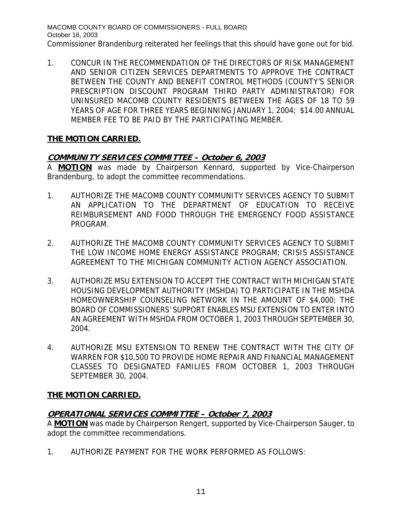1. CONCUR IN THE RECOMMENDATION OF THE DIRECTORS OF RISK MANAGEMENT AND SENIOR CITIZEN SERVICES DEPARTMENTS TO APPROVE THE CONTRACT BETWEEN THE COUNTY AND BENEFIT CONTROL METHODS (COUNTY'S SENIOR PRESCRIPTION DISCOUNT PROGRAM THIRD PARTY ADMINISTRATOR) FOR UNINSURED MACOMB COUNTY RESIDENTS BETWEEN THE AGES OF 18 TO 59 YEARS OF AGE FOR THREE YEARS BEGINNING JANUARY 1, 2004; \$14.00 ANNUAL MEMBER FEE TO BE PAID BY THE PARTICIPATING MEMBER.

## **THE MOTION CARRIED.**

## **COMMUNITY SERVICES COMMITTEE – October 6, 2003**

A **MOTION** was made by Chairperson Kennard, supported by Vice-Chairperson Brandenburg, to adopt the committee recommendations.

- 1. AUTHORIZE THE MACOMB COUNTY COMMUNITY SERVICES AGENCY TO SUBMIT AN APPLICATION TO THE DEPARTMENT OF EDUCATION TO RECEIVE REIMBURSEMENT AND FOOD THROUGH THE EMERGENCY FOOD ASSISTANCE PROGRAM.
- 2. AUTHORIZE THE MACOMB COUNTY COMMUNITY SERVICES AGENCY TO SUBMIT THE LOW INCOME HOME ENERGY ASSISTANCE PROGRAM; CRISIS ASSISTANCE AGREEMENT TO THE MICHIGAN COMMUNITY ACTION AGENCY ASSOCIATION.
- 3. AUTHORIZE MSU EXTENSION TO ACCEPT THE CONTRACT WITH MICHIGAN STATE HOUSING DEVELOPMENT AUTHORITY (MSHDA) TO PARTICIPATE IN THE MSHDA HOMEOWNERSHIP COUNSELING NETWORK IN THE AMOUNT OF \$4,000; THE BOARD OF COMMISSIONERS' SUPPORT ENABLES MSU EXTENSION TO ENTER INTO AN AGREEMENT WITH MSHDA FROM OCTOBER 1, 2003 THROUGH SEPTEMBER 30, 2004.
- 4. AUTHORIZE MSU EXTENSION TO RENEW THE CONTRACT WITH THE CITY OF WARREN FOR \$10,500 TO PROVIDE HOME REPAIR AND FINANCIAL MANAGEMENT CLASSES TO DESIGNATED FAMILIES FROM OCTOBER 1, 2003 THROUGH SEPTEMBER 30, 2004.

# **THE MOTION CARRIED.**

# **OPERATIONAL SERVICES COMMITTEE – October 7, 2003**

A **MOTION** was made by Chairperson Rengert, supported by Vice-Chairperson Sauger, to adopt the committee recommendations.

1. AUTHORIZE PAYMENT FOR THE WORK PERFORMED AS FOLLOWS: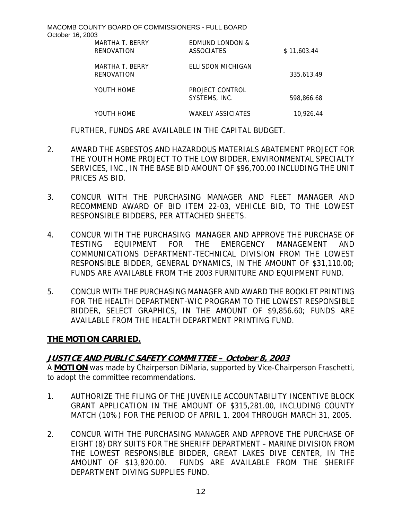| MARTHA T. BERRY<br>RENOVATION | <b>EDMUND LONDON &amp;</b><br>ASSOCIATES | \$11,603.44 |
|-------------------------------|------------------------------------------|-------------|
| MARTHA T. BERRY<br>RENOVATION | ELLISDON MICHIGAN                        | 335.613.49  |
| YOUTH HOME                    | PROJECT CONTROL<br>SYSTEMS, INC.         | 598.866.68  |
| YOUTH HOME                    | WAKELY ASSICIATES                        | 10.926.44   |

FURTHER, FUNDS ARE AVAILABLE IN THE CAPITAL BUDGET.

- 2. AWARD THE ASBESTOS AND HAZARDOUS MATERIALS ABATEMENT PROJECT FOR THE YOUTH HOME PROJECT TO THE LOW BIDDER, ENVIRONMENTAL SPECIALTY SERVICES, INC., IN THE BASE BID AMOUNT OF \$96,700.00 INCLUDING THE UNIT PRICES AS BID.
- 3. CONCUR WITH THE PURCHASING MANAGER AND FLEET MANAGER AND RECOMMEND AWARD OF BID ITEM 22-03, VEHICLE BID, TO THE LOWEST RESPONSIBLE BIDDERS, PER ATTACHED SHEETS.
- 4. CONCUR WITH THE PURCHASING MANAGER AND APPROVE THE PURCHASE OF TESTING EQUIPMENT FOR THE EMERGENCY MANAGEMENT AND COMMUNICATIONS DEPARTMENT-TECHNICAL DIVISION FROM THE LOWEST RESPONSIBLE BIDDER, GENERAL DYNAMICS, IN THE AMOUNT OF \$31,110.00; FUNDS ARE AVAILABLE FROM THE 2003 FURNITURE AND EQUIPMENT FUND.
- 5. CONCUR WITH THE PURCHASING MANAGER AND AWARD THE BOOKLET PRINTING FOR THE HEALTH DEPARTMENT-WIC PROGRAM TO THE LOWEST RESPONSIBLE BIDDER, SELECT GRAPHICS, IN THE AMOUNT OF \$9,856.60; FUNDS ARE AVAILABLE FROM THE HEALTH DEPARTMENT PRINTING FUND.

#### **THE MOTION CARRIED.**

## **JUSTICE AND PUBLIC SAFETY COMMITTEE – October 8, 2003**

A **MOTION** was made by Chairperson DiMaria, supported by Vice-Chairperson Fraschetti, to adopt the committee recommendations.

- 1. AUTHORIZE THE FILING OF THE JUVENILE ACCOUNTABILITY INCENTIVE BLOCK GRANT APPLICATION IN THE AMOUNT OF \$315,281.00, INCLUDING COUNTY MATCH (10%) FOR THE PERIOD OF APRIL 1, 2004 THROUGH MARCH 31, 2005.
- 2. CONCUR WITH THE PURCHASING MANAGER AND APPROVE THE PURCHASE OF EIGHT (8) DRY SUITS FOR THE SHERIFF DEPARTMENT – MARINE DIVISION FROM THE LOWEST RESPONSIBLE BIDDER, GREAT LAKES DIVE CENTER, IN THE AMOUNT OF \$13,820.00. FUNDS ARE AVAILABLE FROM THE SHERIFF DEPARTMENT DIVING SUPPLIES FUND.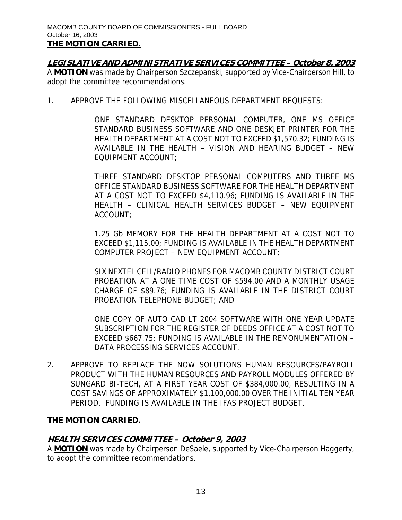**LEGISLATIVE AND ADMINISTRATIVE SERVICES COMMITTEE – October 8, 2003** A **MOTION** was made by Chairperson Szczepanski, supported by Vice-Chairperson Hill, to adopt the committee recommendations.

1. APPROVE THE FOLLOWING MISCELLANEOUS DEPARTMENT REQUESTS:

ONE STANDARD DESKTOP PERSONAL COMPUTER, ONE MS OFFICE STANDARD BUSINESS SOFTWARE AND ONE DESKJET PRINTER FOR THE HEALTH DEPARTMENT AT A COST NOT TO EXCEED \$1,570.32; FUNDING IS AVAILABLE IN THE HEALTH – VISION AND HEARING BUDGET – NEW EQUIPMENT ACCOUNT;

THREE STANDARD DESKTOP PERSONAL COMPUTERS AND THREE MS OFFICE STANDARD BUSINESS SOFTWARE FOR THE HEALTH DEPARTMENT AT A COST NOT TO EXCEED \$4,110.96; FUNDING IS AVAILABLE IN THE HEALTH – CLINICAL HEALTH SERVICES BUDGET – NEW EQUIPMENT ACCOUNT;

1.25 Gb MEMORY FOR THE HEALTH DEPARTMENT AT A COST NOT TO EXCEED \$1,115.00; FUNDING IS AVAILABLE IN THE HEALTH DEPARTMENT COMPUTER PROJECT – NEW EQUIPMENT ACCOUNT;

SIX NEXTEL CELL/RADIO PHONES FOR MACOMB COUNTY DISTRICT COURT PROBATION AT A ONE TIME COST OF \$594.00 AND A MONTHLY USAGE CHARGE OF \$89.76; FUNDING IS AVAILABLE IN THE DISTRICT COURT PROBATION TELEPHONE BUDGET; AND

ONE COPY OF AUTO CAD LT 2004 SOFTWARE WITH ONE YEAR UPDATE SUBSCRIPTION FOR THE REGISTER OF DEEDS OFFICE AT A COST NOT TO EXCEED \$667.75; FUNDING IS AVAILABLE IN THE REMONUMENTATION – DATA PROCESSING SERVICES ACCOUNT.

2. APPROVE TO REPLACE THE NOW SOLUTIONS HUMAN RESOURCES/PAYROLL PRODUCT WITH THE HUMAN RESOURCES AND PAYROLL MODULES OFFERED BY SUNGARD BI-TECH, AT A FIRST YEAR COST OF \$384,000.00, RESULTING IN A COST SAVINGS OF APPROXIMATELY \$1,100,000.00 OVER THE INITIAL TEN YEAR PERIOD. FUNDING IS AVAILABLE IN THE IFAS PROJECT BUDGET.

## **THE MOTION CARRIED.**

## **HEALTH SERVICES COMMITTEE – October 9, 2003**

A **MOTION** was made by Chairperson DeSaele, supported by Vice-Chairperson Haggerty, to adopt the committee recommendations.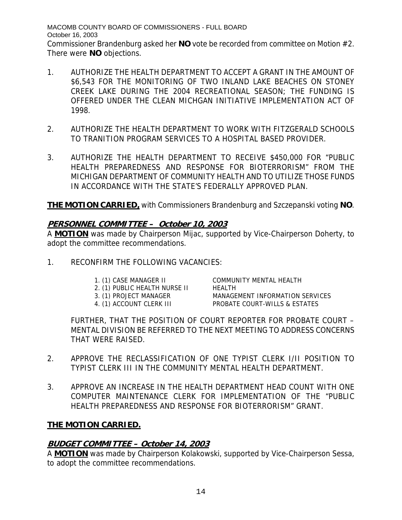MACOMB COUNTY BOARD OF COMMISSIONERS - FULL BOARD October 16, 2003 Commissioner Brandenburg asked her **NO** vote be recorded from committee on Motion #2. There were **NO** objections.

- 1. AUTHORIZE THE HEALTH DEPARTMENT TO ACCEPT A GRANT IN THE AMOUNT OF \$6,543 FOR THE MONITORING OF TWO INLAND LAKE BEACHES ON STONEY CREEK LAKE DURING THE 2004 RECREATIONAL SEASON; THE FUNDING IS OFFERED UNDER THE CLEAN MICHGAN INITIATIVE IMPLEMENTATION ACT OF 1998.
- 2. AUTHORIZE THE HEALTH DEPARTMENT TO WORK WITH FITZGERALD SCHOOLS TO TRANITION PROGRAM SERVICES TO A HOSPITAL BASED PROVIDER.
- 3. AUTHORIZE THE HEALTH DEPARTMENT TO RECEIVE \$450,000 FOR "PUBLIC HEALTH PREPAREDNESS AND RESPONSE FOR BIOTERRORISM" FROM THE MICHIGAN DEPARTMENT OF COMMUNITY HEALTH AND TO UTILIZE THOSE FUNDS IN ACCORDANCE WITH THE STATE'S FEDERALLY APPROVED PLAN.

**THE MOTION CARRIED,** with Commissioners Brandenburg and Szczepanski voting **NO**.

## **PERSONNEL COMMITTEE – October 10, 2003**

A **MOTION** was made by Chairperson Mijac, supported by Vice-Chairperson Doherty, to adopt the committee recommendations.

- 1. RECONFIRM THE FOLLOWING VACANCIES:
	-
	- 2. (1) PUBLIC HEALTH NURSE II HEALTH
	-
	-

1. (1) CASE MANAGER II COMMUNITY MENTAL HEALTH 3. (1) PROJECT MANAGER MANAGEMENT INFORMATION SERVICES 4. (1) ACCOUNT CLERK III PROBATE COURT-WILLS & ESTATES

FURTHER, THAT THE POSITION OF COURT REPORTER FOR PROBATE COURT – MENTAL DIVISION BE REFERRED TO THE NEXT MEETING TO ADDRESS CONCERNS THAT WERE RAISED.

- 2. APPROVE THE RECLASSIFICATION OF ONE TYPIST CLERK I/II POSITION TO TYPIST CLERK III IN THE COMMUNITY MENTAL HEALTH DEPARTMENT.
- 3. APPROVE AN INCREASE IN THE HEALTH DEPARTMENT HEAD COUNT WITH ONE COMPUTER MAINTENANCE CLERK FOR IMPLEMENTATION OF THE "PUBLIC HEALTH PREPAREDNESS AND RESPONSE FOR BIOTERRORISM" GRANT.

## **THE MOTION CARRIED.**

## **BUDGET COMMITTEE – October 14, 2003**

A **MOTION** was made by Chairperson Kolakowski, supported by Vice-Chairperson Sessa, to adopt the committee recommendations.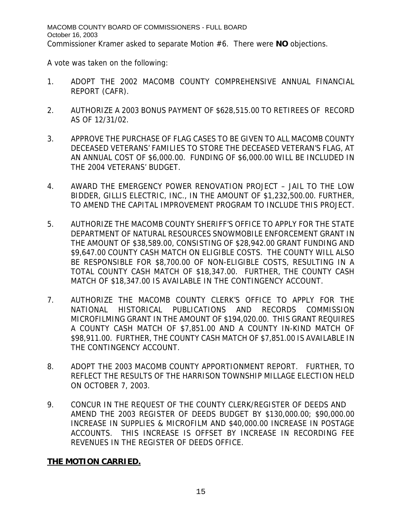A vote was taken on the following:

- 1. ADOPT THE 2002 MACOMB COUNTY COMPREHENSIVE ANNUAL FINANCIAL REPORT (CAFR).
- 2. AUTHORIZE A 2003 BONUS PAYMENT OF \$628,515.00 TO RETIREES OF RECORD AS OF 12/31/02.
- 3. APPROVE THE PURCHASE OF FLAG CASES TO BE GIVEN TO ALL MACOMB COUNTY DECEASED VETERANS' FAMILIES TO STORE THE DECEASED VETERAN'S FLAG, AT AN ANNUAL COST OF \$6,000.00. FUNDING OF \$6,000.00 WILL BE INCLUDED IN THE 2004 VETERANS' BUDGET.
- 4. AWARD THE EMERGENCY POWER RENOVATION PROJECT JAIL TO THE LOW BIDDER, GILLIS ELECTRIC, INC., IN THE AMOUNT OF \$1,232,500.00. FURTHER, TO AMEND THE CAPITAL IMPROVEMENT PROGRAM TO INCLUDE THIS PROJECT.
- 5. AUTHORIZE THE MACOMB COUNTY SHERIFF'S OFFICE TO APPLY FOR THE STATE DEPARTMENT OF NATURAL RESOURCES SNOWMOBILE ENFORCEMENT GRANT IN THE AMOUNT OF \$38,589.00, CONSISTING OF \$28,942.00 GRANT FUNDING AND \$9,647.00 COUNTY CASH MATCH ON ELIGIBLE COSTS. THE COUNTY WILL ALSO BE RESPONSIBLE FOR \$8,700.00 OF NON-ELIGIBLE COSTS, RESULTING IN A TOTAL COUNTY CASH MATCH OF \$18,347.00. FURTHER, THE COUNTY CASH MATCH OF \$18,347.00 IS AVAILABLE IN THE CONTINGENCY ACCOUNT.
- 7. AUTHORIZE THE MACOMB COUNTY CLERK'S OFFICE TO APPLY FOR THE NATIONAL HISTORICAL PUBLICATIONS AND RECORDS COMMISSION MICROFILMING GRANT IN THE AMOUNT OF \$194,020.00. THIS GRANT REQUIRES A COUNTY CASH MATCH OF \$7,851.00 AND A COUNTY IN-KIND MATCH OF \$98,911.00. FURTHER, THE COUNTY CASH MATCH OF \$7,851.00 IS AVAILABLE IN THE CONTINGENCY ACCOUNT.
- 8. ADOPT THE 2003 MACOMB COUNTY APPORTIONMENT REPORT. FURTHER, TO REFLECT THE RESULTS OF THE HARRISON TOWNSHIP MILLAGE ELECTION HELD ON OCTOBER 7, 2003.
- 9. CONCUR IN THE REQUEST OF THE COUNTY CLERK/REGISTER OF DEEDS AND AMEND THE 2003 REGISTER OF DEEDS BUDGET BY \$130,000.00; \$90,000.00 INCREASE IN SUPPLIES & MICROFILM AND \$40,000.00 INCREASE IN POSTAGE ACCOUNTS. THIS INCREASE IS OFFSET BY INCREASE IN RECORDING FEE REVENUES IN THE REGISTER OF DEEDS OFFICE.

# **THE MOTION CARRIED.**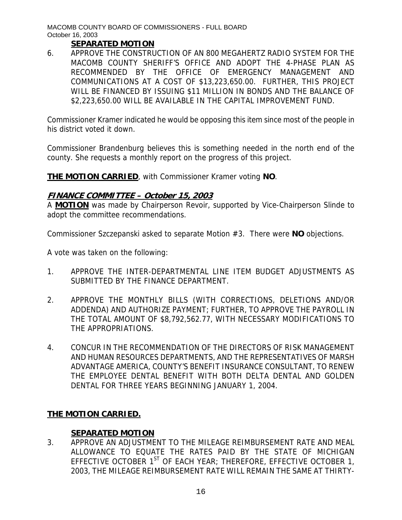## **SEPARATED MOTION**

6. APPROVE THE CONSTRUCTION OF AN 800 MEGAHERTZ RADIO SYSTEM FOR THE MACOMB COUNTY SHERIFF'S OFFICE AND ADOPT THE 4-PHASE PLAN AS RECOMMENDED BY THE OFFICE OF EMERGENCY MANAGEMENT AND COMMUNICATIONS AT A COST OF \$13,223,650.00. FURTHER, THIS PROJECT WILL BE FINANCED BY ISSUING \$11 MILLION IN BONDS AND THE BALANCE OF \$2,223,650.00 WILL BE AVAILABLE IN THE CAPITAL IMPROVEMENT FUND.

Commissioner Kramer indicated he would be opposing this item since most of the people in his district voted it down.

Commissioner Brandenburg believes this is something needed in the north end of the county. She requests a monthly report on the progress of this project.

**THE MOTION CARRIED**, with Commissioner Kramer voting **NO**.

# **FINANCE COMMITTEE – October 15, 2003**

A **MOTION** was made by Chairperson Revoir, supported by Vice-Chairperson Slinde to adopt the committee recommendations.

Commissioner Szczepanski asked to separate Motion #3. There were **NO** objections.

A vote was taken on the following:

- 1. APPROVE THE INTER-DEPARTMENTAL LINE ITEM BUDGET ADJUSTMENTS AS SUBMITTED BY THE FINANCE DEPARTMENT.
- 2. APPROVE THE MONTHLY BILLS (WITH CORRECTIONS, DELETIONS AND/OR ADDENDA) AND AUTHORIZE PAYMENT; FURTHER, TO APPROVE THE PAYROLL IN THE TOTAL AMOUNT OF \$8,792,562.77, WITH NECESSARY MODIFICATIONS TO THE APPROPRIATIONS.
- 4. CONCUR IN THE RECOMMENDATION OF THE DIRECTORS OF RISK MANAGEMENT AND HUMAN RESOURCES DEPARTMENTS, AND THE REPRESENTATIVES OF MARSH ADVANTAGE AMERICA, COUNTY'S BENEFIT INSURANCE CONSULTANT, TO RENEW THE EMPLOYEE DENTAL BENEFIT WITH BOTH DELTA DENTAL AND GOLDEN DENTAL FOR THREE YEARS BEGINNING JANUARY 1, 2004.

## **THE MOTION CARRIED.**

## **SEPARATED MOTION**

3. APPROVE AN ADJUSTMENT TO THE MILEAGE REIMBURSEMENT RATE AND MEAL ALLOWANCE TO EQUATE THE RATES PAID BY THE STATE OF MICHIGAN EFFECTIVE OCTOBER  $1^{ST}$  OF EACH YEAR; THEREFORE, EFFECTIVE OCTOBER 1, 2003, THE MILEAGE REIMBURSEMENT RATE WILL REMAIN THE SAME AT THIRTY-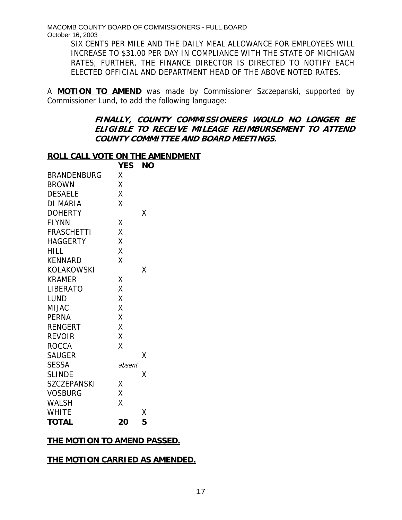> SIX CENTS PER MILE AND THE DAILY MEAL ALLOWANCE FOR EMPLOYEES WILL INCREASE TO \$31.00 PER DAY IN COMPLIANCE WITH THE STATE OF MICHIGAN RATES; FURTHER, THE FINANCE DIRECTOR IS DIRECTED TO NOTIFY EACH ELECTED OFFICIAL AND DEPARTMENT HEAD OF THE ABOVE NOTED RATES.

A **MOTION TO AMEND** was made by Commissioner Szczepanski, supported by Commissioner Lund, to add the following language:

#### **FINALLY, COUNTY COMMISSIONERS WOULD NO LONGER BE ELIGIBLE TO RECEIVE MILEAGE REIMBURSEMENT TO ATTEND COUNTY COMMITTEE AND BOARD MEETINGS.**

#### **ROLL CALL VOTE ON THE AMENDMENT**

|                    | <b>YES</b> | ΝO |
|--------------------|------------|----|
| <b>BRANDENBURG</b> | Χ          |    |
| <b>BROWN</b>       | Χ          |    |
| <b>DESAELE</b>     | Χ          |    |
| DI MARIA           | X          |    |
| <b>DOHERTY</b>     |            | Χ  |
| <b>FLYNN</b>       | Χ          |    |
| <b>FRASCHETTI</b>  | Χ          |    |
| <b>HAGGERTY</b>    | X          |    |
| <b>HILL</b>        | Χ          |    |
| <b>KENNARD</b>     | X          |    |
| <b>KOLAKOWSKI</b>  |            | Χ  |
| <b>KRAMER</b>      | Χ          |    |
| LIBERATO           | Χ          |    |
| LUND               | X          |    |
| <b>MIJAC</b>       | X          |    |
| <b>PERNA</b>       | X          |    |
| <b>RENGERT</b>     | Χ          |    |
| <b>REVOIR</b>      | Χ          |    |
| <b>ROCCA</b>       | Χ          |    |
| <b>SAUGER</b>      |            | х  |
| <b>SESSA</b>       | absent     |    |
| <b>SLINDE</b>      |            | Χ  |
| <b>SZCZEPANSKI</b> | Χ          |    |
| <b>VOSBURG</b>     | X          |    |
| <b>WALSH</b>       | Χ          |    |
| <b>WHITE</b>       |            | Χ  |
| <b>TOTAL</b>       | 20         | 5  |

## **THE MOTION TO AMEND PASSED.**

## **THE MOTION CARRIED AS AMENDED.**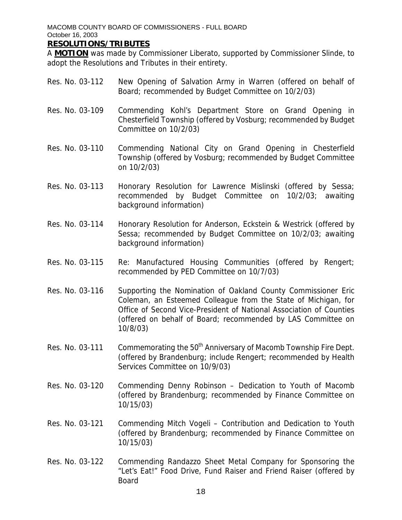#### **RESOLUTIONS/TRIBUTES**

A **MOTION** was made by Commissioner Liberato, supported by Commissioner Slinde, to adopt the Resolutions and Tributes in their entirety.

- Res. No. 03-112 New Opening of Salvation Army in Warren (offered on behalf of Board; recommended by Budget Committee on 10/2/03)
- Res. No. 03-109 Commending Kohl's Department Store on Grand Opening in Chesterfield Township (offered by Vosburg; recommended by Budget Committee on 10/2/03)
- Res. No. 03-110 Commending National City on Grand Opening in Chesterfield Township (offered by Vosburg; recommended by Budget Committee on 10/2/03)
- Res. No. 03-113 Honorary Resolution for Lawrence Mislinski (offered by Sessa; recommended by Budget Committee on 10/2/03; awaiting background information)
- Res. No. 03-114 Honorary Resolution for Anderson, Eckstein & Westrick (offered by Sessa; recommended by Budget Committee on 10/2/03; awaiting background information)
- Res. No. 03-115 Re: Manufactured Housing Communities (offered by Rengert; recommended by PED Committee on 10/7/03)
- Res. No. 03-116 Supporting the Nomination of Oakland County Commissioner Eric Coleman, an Esteemed Colleague from the State of Michigan, for Office of Second Vice-President of National Association of Counties (offered on behalf of Board; recommended by LAS Committee on 10/8/03)
- Res. No. 03-111 Commemorating the  $50<sup>th</sup>$  Anniversary of Macomb Township Fire Dept. (offered by Brandenburg; include Rengert; recommended by Health Services Committee on 10/9/03)
- Res. No. 03-120 Commending Denny Robinson Dedication to Youth of Macomb (offered by Brandenburg; recommended by Finance Committee on 10/15/03)
- Res. No. 03-121 Commending Mitch Vogeli Contribution and Dedication to Youth (offered by Brandenburg; recommended by Finance Committee on 10/15/03)
- Res. No. 03-122 Commending Randazzo Sheet Metal Company for Sponsoring the "Let's Eat!" Food Drive, Fund Raiser and Friend Raiser (offered by Board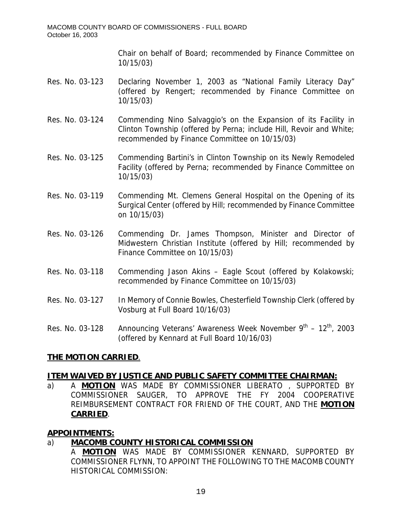Chair on behalf of Board; recommended by Finance Committee on 10/15/03)

- Res. No. 03-123 Declaring November 1, 2003 as "National Family Literacy Day" (offered by Rengert; recommended by Finance Committee on 10/15/03)
- Res. No. 03-124 Commending Nino Salvaggio's on the Expansion of its Facility in Clinton Township (offered by Perna; include Hill, Revoir and White; recommended by Finance Committee on 10/15/03)
- Res. No. 03-125 Commending Bartini's in Clinton Township on its Newly Remodeled Facility (offered by Perna; recommended by Finance Committee on 10/15/03)
- Res. No. 03-119 Commending Mt. Clemens General Hospital on the Opening of its Surgical Center (offered by Hill; recommended by Finance Committee on 10/15/03)
- Res. No. 03-126 Commending Dr. James Thompson, Minister and Director of Midwestern Christian Institute (offered by Hill; recommended by Finance Committee on 10/15/03)
- Res. No. 03-118 Commending Jason Akins Eagle Scout (offered by Kolakowski; recommended by Finance Committee on 10/15/03)
- Res. No. 03-127 In Memory of Connie Bowles, Chesterfield Township Clerk (offered by Vosburg at Full Board 10/16/03)

Res. No. 03-128 Announcing Veterans' Awareness Week November  $9^{th}$  – 12<sup>th</sup>, 2003 (offered by Kennard at Full Board 10/16/03)

## **THE MOTION CARRIED**.

#### **ITEM WAIVED BY JUSTICE AND PUBLIC SAFETY COMMITTEE CHAIRMAN:**

a) A **MOTION** WAS MADE BY COMMISSIONER LIBERATO , SUPPORTED BY COMMISSIONER SAUGER, TO APPROVE THE FY 2004 COOPERATIVE REIMBURSEMENT CONTRACT FOR FRIEND OF THE COURT, AND THE **MOTION CARRIED**.

## **APPOINTMENTS:**

# a) **MACOMB COUNTY HISTORICAL COMMISSION**

A **MOTION** WAS MADE BY COMMISSIONER KENNARD, SUPPORTED BY COMMISSIONER FLYNN, TO APPOINT THE FOLLOWING TO THE MACOMB COUNTY HISTORICAL COMMISSION: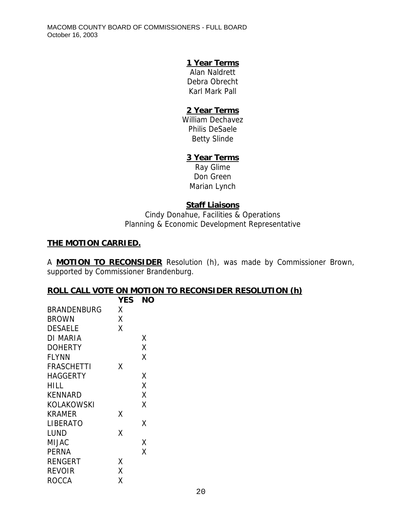## **1 Year Terms**

Alan Naldrett Debra Obrecht Karl Mark Pall

## **2 Year Terms**

William Dechavez Philis DeSaele Betty Slinde

# **3 Year Terms**

Ray Glime Don Green Marian Lynch

# **Staff Liaisons**

Cindy Donahue, Facilities & Operations Planning & Economic Development Representative

# **THE MOTION CARRIED.**

A **MOTION TO RECONSIDER** Resolution (h), was made by Commissioner Brown, supported by Commissioner Brandenburg.

## **ROLL CALL VOTE ON MOTION TO RECONSIDER RESOLUTION (h)**

|                   | <b>YES</b> | NΟ |
|-------------------|------------|----|
| BRANDENBURG       | χ          |    |
| <b>BROWN</b>      | Χ          |    |
| <b>DESAELE</b>    | Χ          |    |
| DI MARIA          |            | Χ  |
| <b>DOHERTY</b>    |            | X  |
| <b>FLYNN</b>      |            | X  |
| <b>FRASCHETTI</b> | Χ          |    |
| HAGGERTY          |            | χ  |
| HILL              |            | Χ  |
| KENNARD           |            | Χ  |
| KOLAKOWSKI        |            | Χ  |
| KRAMER            | Χ          |    |
| LIBERATO          |            | Χ  |
| LUND              | Χ          |    |
| <b>MIJAC</b>      |            | Χ  |
| <b>PERNA</b>      |            | Χ  |
| <b>RENGERT</b>    | Χ          |    |
| REVOIR            | Χ          |    |
| ROCCA             | Χ          |    |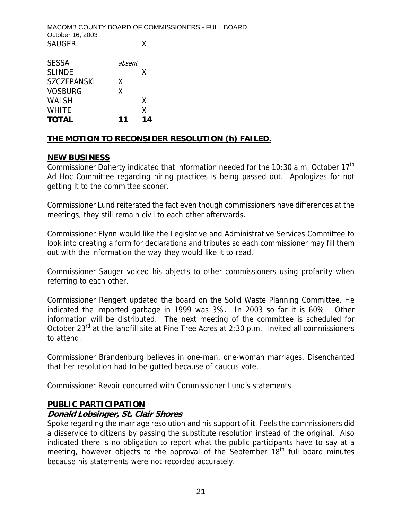MACOMB COUNTY BOARD OF COMMISSIONERS - FULL BOARD October 16, 2003 SAUGER X

| <b>SESSA</b>       | absent |    |
|--------------------|--------|----|
| <b>SLINDE</b>      |        | X  |
| <b>SZCZEPANSKI</b> | X      |    |
| <b>VOSBURG</b>     | x      |    |
| <b>WALSH</b>       |        | X  |
| <b>WHITE</b>       |        | X  |
| <b>TOTAL</b>       | 11     | 14 |

# **THE MOTION TO RECONSIDER RESOLUTION (h) FAILED.**

## **NEW BUSINESS**

Commissioner Doherty indicated that information needed for the 10:30 a.m. October 17<sup>th</sup> Ad Hoc Committee regarding hiring practices is being passed out. Apologizes for not getting it to the committee sooner.

Commissioner Lund reiterated the fact even though commissioners have differences at the meetings, they still remain civil to each other afterwards.

Commissioner Flynn would like the Legislative and Administrative Services Committee to look into creating a form for declarations and tributes so each commissioner may fill them out with the information the way they would like it to read.

Commissioner Sauger voiced his objects to other commissioners using profanity when referring to each other.

Commissioner Rengert updated the board on the Solid Waste Planning Committee. He indicated the imported garbage in 1999 was 3%. In 2003 so far it is 60%. Other information will be distributed. The next meeting of the committee is scheduled for October  $23^{rd}$  at the landfill site at Pine Tree Acres at 2:30 p.m. Invited all commissioners to attend.

Commissioner Brandenburg believes in one-man, one-woman marriages. Disenchanted that her resolution had to be gutted because of caucus vote.

Commissioner Revoir concurred with Commissioner Lund's statements.

## **PUBLIC PARTICIPATION**

## **Donald Lobsinger, St. Clair Shores**

Spoke regarding the marriage resolution and his support of it. Feels the commissioners did a disservice to citizens by passing the substitute resolution instead of the original. Also indicated there is no obligation to report what the public participants have to say at a meeting, however objects to the approval of the September  $18<sup>th</sup>$  full board minutes because his statements were not recorded accurately.